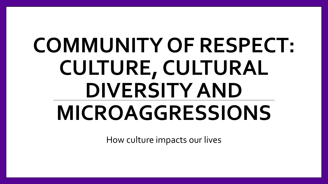# <span id="page-0-0"></span>**COMMUNITY OF RESPECT: CULTURE, CULTURAL DIVERSITYAND MICROAGGRESSIONS**

How culture impacts our lives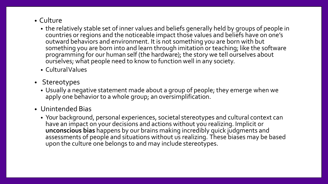- Culture
	- the relatively stable set of inner values and beliefs generally held by groups of people in countries or regions and the noticeable impact those values and beliefs have on one's outward behaviors and environment. It is not something you are born with but something you are born into and learn through imitation or teaching; like the software programming for our human self (the hardware); the story we tell ourselves about ourselves; what people need to know to function well in any society.
	- CulturalValues
- Stereotypes
	- Usually a negative statement made about a group of people; they emerge when we apply one behavior to a whole group; an oversimplification.
- Unintended Bias
	- Your background, personal experiences, societal stereotypes and cultural context can have an impact on your decisions and actions without you realizing. Implicit or **unconscious bias** happens by our brains making incredibly quick judgments and assessments of people and situations without us realizing. These biases may be based upon the culture one belongs to and may include stereotypes.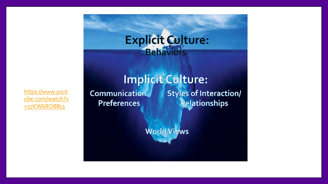https://www.yout [ube.com/watch?v](https://www.youtube.com/watch?v=57KW6RO8Rcs) [=57KW6RO8Rcs](https://www.youtube.com/watch?v=57KW6RO8Rcs)

### Explicit Culture: **Behaviors**

**Implicit Culture: Communication Styles of Interaction/** Relationships **Preferences** 

**World Views**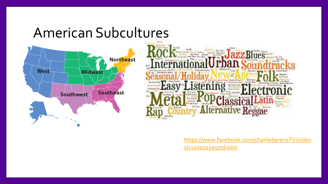### American Subcultures





[https://www.facebook.com/charlieberensTV/video](https://www.facebook.com/charlieberensTV/videos/1120022195056200/)  s/1120022195056200/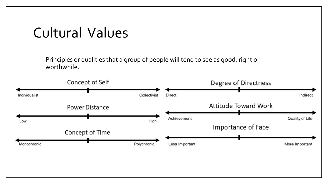

Principles or qualities that a group of people will tend to see as good, right or worthwhile.

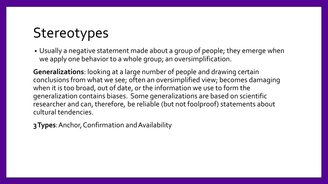### **Stereotypes**

• Usually a negative statement made about a group of people; they emerge when we apply one behavior to a whole group; an oversimplification.

**Generalizations**: looking at a large number of people and drawing certain conclusions from what we see; often an oversimplified view; becomes damaging when it is too broad, out of date, or the information we use to form the generalization contains biases. Some generalizations are based on scientific researcher and can, therefore, be reliable (but not foolproof) statements about cultural tendencies.

**3 Types**: Anchor, Confirmation and Availability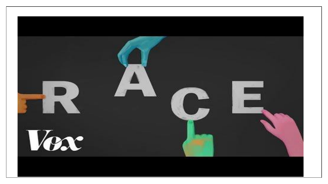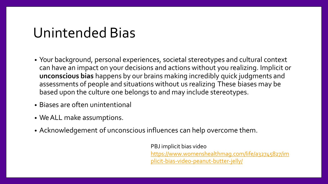### Unintended Bias

- Your background, personal experiences, societal stereotypes and cultural context can have an impact on your decisions and actions without you realizing. Implicit or **unconscious bias** happens by our brains making incredibly quick judgments and assessments of people and situations without us realizing These biases may be based upon the culture one belongs to and may include stereotypes.
- Biases are often unintentional
- WeALL make assumptions.
- Acknowledgement of unconscious influences can help overcome them.

PBJ implicit bias video [https://www.womenshealthmag.com/life/a32745827/im](https://www.womenshealthmag.com/life/a32745827/implicit-bias-video-peanut-butter-jelly/) plicit-bias-video-peanut-butter-jelly/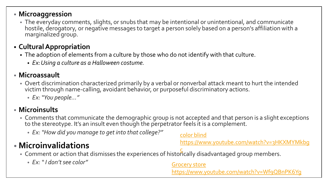#### • **Microaggression**

• The everyday comments, slights, or snubs that may be intentional or unintentional, and communicate hostile, derogatory, or negative messages to target a person solely based on a person's affiliation with a marginalized group.

#### • **CulturalAppropriation**

- The adoption of elements from a culture by those who do not identify with that culture.
	- *Ex:Using a culture as a Halloween costume.*

#### • **Microassault**

- Overt discrimination characterized primarily by a verbal or nonverbal attack meant to hurt the intended victim through name-calling, avoidant behavior, or purposeful discriminatory actions.
	- *Ex:"You people…"*

#### • **Microinsults**

- Comments that communicate the demographic group is not accepted and that person is a slight exceptions to the stereotype. It's an insult even though the perpetrator feels it is a complement.
	- *Ex: "How did you manage to get into that college?"*

#### • **Microinvalidations**

- Comment or action that dismisses the experiences of historically disadvantaged group members. [c](https://www.youtube.com/watch?v=3HKXMYMkbgc)
	- *Ex:* "*I don't see color"* Grocery store

[color blind](https://www.youtube.com/watch?v=3HKXMYMkbgc) 

<https://www.youtube.com/watch?v=Wf9QBnPK6Yg>

[https://www.youtube.com/watch?v=3HKXMYMkbg](https://www.youtube.com/watch?v=3HKXMYMkbgc)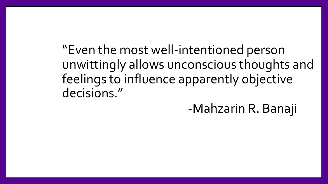"Even the most well-intentioned person unwittingly allows unconscious thoughts and feelings to influence apparently objective decisions."

-Mahzarin R. Banaji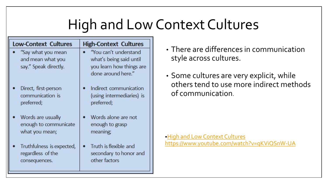# High and Low Context Cultures

| <b>Low-Context Cultures</b>                                      | <b>High-Context Cultures</b>                                                                       |
|------------------------------------------------------------------|----------------------------------------------------------------------------------------------------|
| "Say what you mean<br>and mean what you<br>say." Speak directly. | "You can't understand<br>what's being said until<br>you learn how things are<br>done around here." |
| Direct, first-person                                             | Indirect communication                                                                             |
| communication is                                                 | (using intermediaries) is                                                                          |
| preferred;                                                       | preferred;                                                                                         |
| Words are usually                                                | Words alone are not                                                                                |
| enough to communicate                                            | enough to grasp                                                                                    |
| what you mean;                                                   | meaning;                                                                                           |
| Truthfulness is expected,                                        | Truth is flexible and                                                                              |
| regardless of the                                                | secondary to honor and                                                                             |
| consequences.                                                    | other factors                                                                                      |

- There are differences in communication style across cultures.
- Some cultures are very explicit, while others tend to use more indirect methods of communication.

[•High and Low Context Cultures](#page-0-0) <https://www.youtube.com/watch?v=qKViQSnW-UA>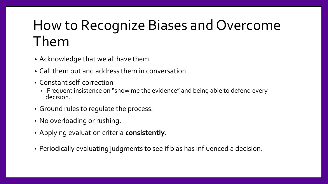### How to Recognize Biases and Overcome Them

- Acknowledge that we all have them
- Call them out and address them in conversation
- Constant self-correction
	- Frequent insistence on "show me the evidence" and being able to defend every decision.
- Ground rules to regulate the process.
- No overloading or rushing.
- Applying evaluation criteria **consistently**.
- Periodically evaluating judgments to see if bias has influenced a decision.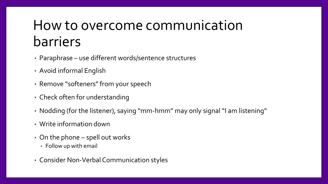### How to overcome communication barriers

- Paraphrase use different words/sentence structures
- Avoid informal English
- Remove "softeners" from your speech
- Check often for understanding
- Nodding (for the listener), saying "mm-hmm" may only signal "I am listening"
- Write information down
- On the phone spell out works
	- Follow up with email
- Consider Non-Verbal Communication styles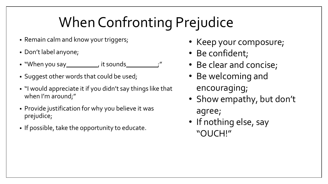# When Confronting Prejudice

- Remain calm and know your triggers;
- Don't label anyone;
- "When you say \_\_\_\_\_\_\_\_\_\_\_, it sounds \_\_\_\_\_\_\_\_\_\_\_\_;"
- Suggest other words that could be used;
- "I would appreciate it if you didn't say things like that when I'm around;"
- Provide justification for why you believe it was prejudice;
- If possible, take the opportunity to educate.
- Keep your composure;
- Be confident;
- Be clear and concise;
- Be welcoming and encouraging;
- Show empathy, but don't agree;
- If nothing else, say "OUCH!"